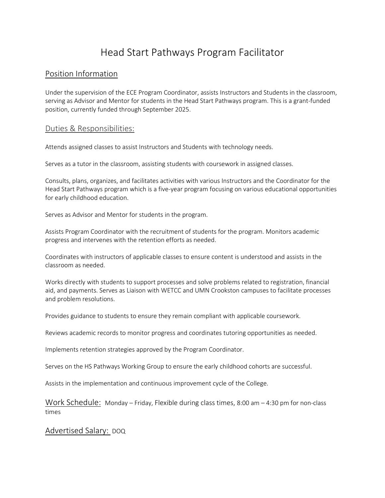# Head Start Pathways Program Facilitator

# Position Information

Under the supervision of the ECE Program Coordinator, assists Instructors and Students in the classroom, serving as Advisor and Mentor for students in the Head Start Pathways program. This is a grant-funded position, currently funded through September 2025.

#### Duties & Responsibilities:

Attends assigned classes to assist Instructors and Students with technology needs.

Serves as a tutor in the classroom, assisting students with coursework in assigned classes.

Consults, plans, organizes, and facilitates activities with various Instructors and the Coordinator for the Head Start Pathways program which is a five-year program focusing on various educational opportunities for early childhood education.

Serves as Advisor and Mentor for students in the program.

Assists Program Coordinator with the recruitment of students for the program. Monitors academic progress and intervenes with the retention efforts as needed.

Coordinates with instructors of applicable classes to ensure content is understood and assists in the classroom as needed.

Works directly with students to support processes and solve problems related to registration, financial aid, and payments. Serves as Liaison with WETCC and UMN Crookston campuses to facilitate processes and problem resolutions.

Provides guidance to students to ensure they remain compliant with applicable coursework.

Reviews academic records to monitor progress and coordinates tutoring opportunities as needed.

Implements retention strategies approved by the Program Coordinator.

Serves on the HS Pathways Working Group to ensure the early childhood cohorts are successful.

Assists in the implementation and continuous improvement cycle of the College.

Work Schedule: Monday – Friday, Flexible during class times, 8:00 am – 4:30 pm for non-class times

#### Advertised Salary: DOQ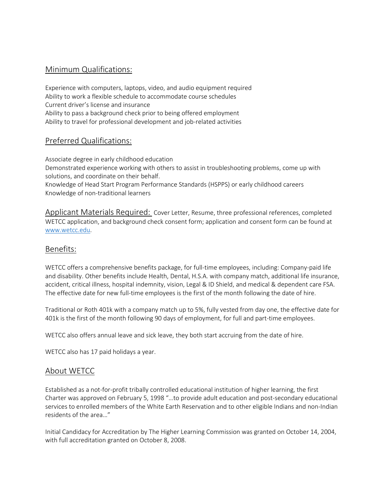# Minimum Qualifications:

Experience with computers, laptops, video, and audio equipment required Ability to work a flexible schedule to accommodate course schedules Current driver's license and insurance Ability to pass a background check prior to being offered employment Ability to travel for professional development and job-related activities

### Preferred Qualifications:

Associate degree in early childhood education

Demonstrated experience working with others to assist in troubleshooting problems, come up with solutions, and coordinate on their behalf.

Knowledge of Head Start Program Performance Standards (HSPPS) or early childhood careers Knowledge of non-traditional learners

Applicant Materials Required: Cover Letter, Resume, three professional references, completed WETCC application, and background check consent form; application and consent form can be found at [www.wetcc.edu.](http://www.wetcc.edu/)

#### Benefits:

WETCC offers a comprehensive benefits package, for full-time employees, including: Company-paid life and disability. Other benefits include Health, Dental, H.S.A. with company match, additional life insurance, accident, critical illness, hospital indemnity, vision, Legal & ID Shield, and medical & dependent care FSA. The effective date for new full-time employees is the first of the month following the date of hire.

Traditional or Roth 401k with a company match up to 5%, fully vested from day one, the effective date for 401k is the first of the month following 90 days of employment, for full and part-time employees.

WETCC also offers annual leave and sick leave, they both start accruing from the date of hire.

WETCC also has 17 paid holidays a year.

#### About WETCC

Established as a not-for-profit tribally controlled educational institution of higher learning, the first Charter was approved on February 5, 1998 "…to provide adult education and post-secondary educational services to enrolled members of the White Earth Reservation and to other eligible Indians and non-Indian residents of the area…"

Initial Candidacy for Accreditation by The Higher Learning Commission was granted on October 14, 2004, with full accreditation granted on October 8, 2008.